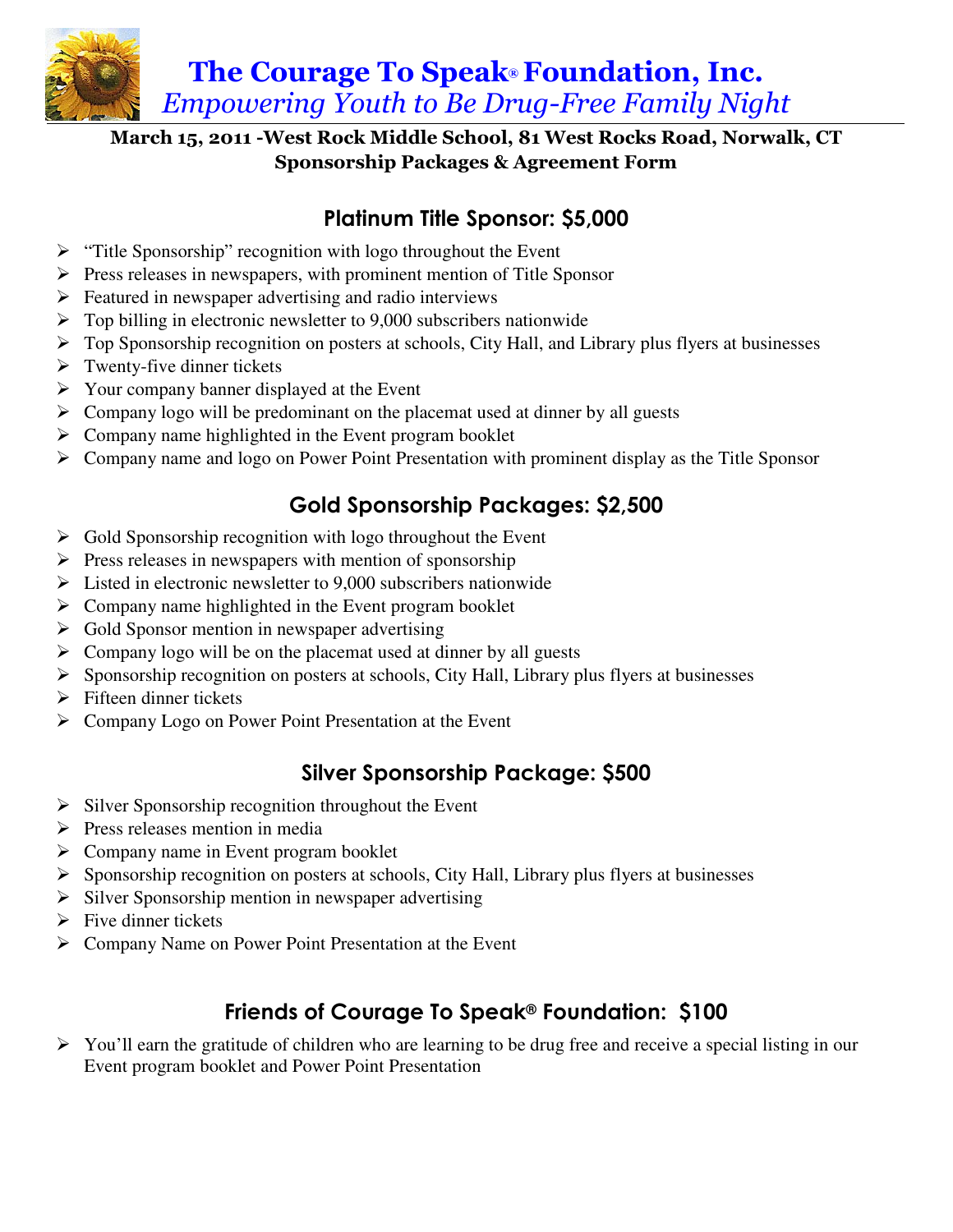

#### March 15, 2011 -West Rock Middle School, 81 West Rocks Road, Norwalk, CT Sponsorship Packages & Agreement Form

## Platinum Title Sponsor: \$5,000

- $\triangleright$  "Title Sponsorship" recognition with logo throughout the Event
- $\triangleright$  Press releases in newspapers, with prominent mention of Title Sponsor
- $\triangleright$  Featured in newspaper advertising and radio interviews
- $\triangleright$  Top billing in electronic newsletter to 9,000 subscribers nationwide
- $\triangleright$  Top Sponsorship recognition on posters at schools, City Hall, and Library plus flyers at businesses
- $\triangleright$  Twenty-five dinner tickets
- $\triangleright$  Your company banner displayed at the Event
- $\triangleright$  Company logo will be predominant on the placemat used at dinner by all guests
- $\triangleright$  Company name highlighted in the Event program booklet
- $\triangleright$  Company name and logo on Power Point Presentation with prominent display as the Title Sponsor

## Gold Sponsorship Packages: \$2,500

- $\triangleright$  Gold Sponsorship recognition with logo throughout the Event
- $\triangleright$  Press releases in newspapers with mention of sponsorship
- $\triangleright$  Listed in electronic newsletter to 9,000 subscribers nationwide
- $\triangleright$  Company name highlighted in the Event program booklet
- $\triangleright$  Gold Sponsor mention in newspaper advertising
- $\triangleright$  Company logo will be on the placemat used at dinner by all guests
- $\triangleright$  Sponsorship recognition on posters at schools, City Hall, Library plus flyers at businesses
- $\triangleright$  Fifteen dinner tickets
- Company Logo on Power Point Presentation at the Event

### Silver Sponsorship Package: \$500

- $\triangleright$  Silver Sponsorship recognition throughout the Event
- $\triangleright$  Press releases mention in media
- $\triangleright$  Company name in Event program booklet
- $\triangleright$  Sponsorship recognition on posters at schools, City Hall, Library plus flyers at businesses
- $\triangleright$  Silver Sponsorship mention in newspaper advertising
- $\triangleright$  Five dinner tickets
- Company Name on Power Point Presentation at the Event

# Friends of Courage To Speak® Foundation: \$100

 $\triangleright$  You'll earn the gratitude of children who are learning to be drug free and receive a special listing in our Event program booklet and Power Point Presentation